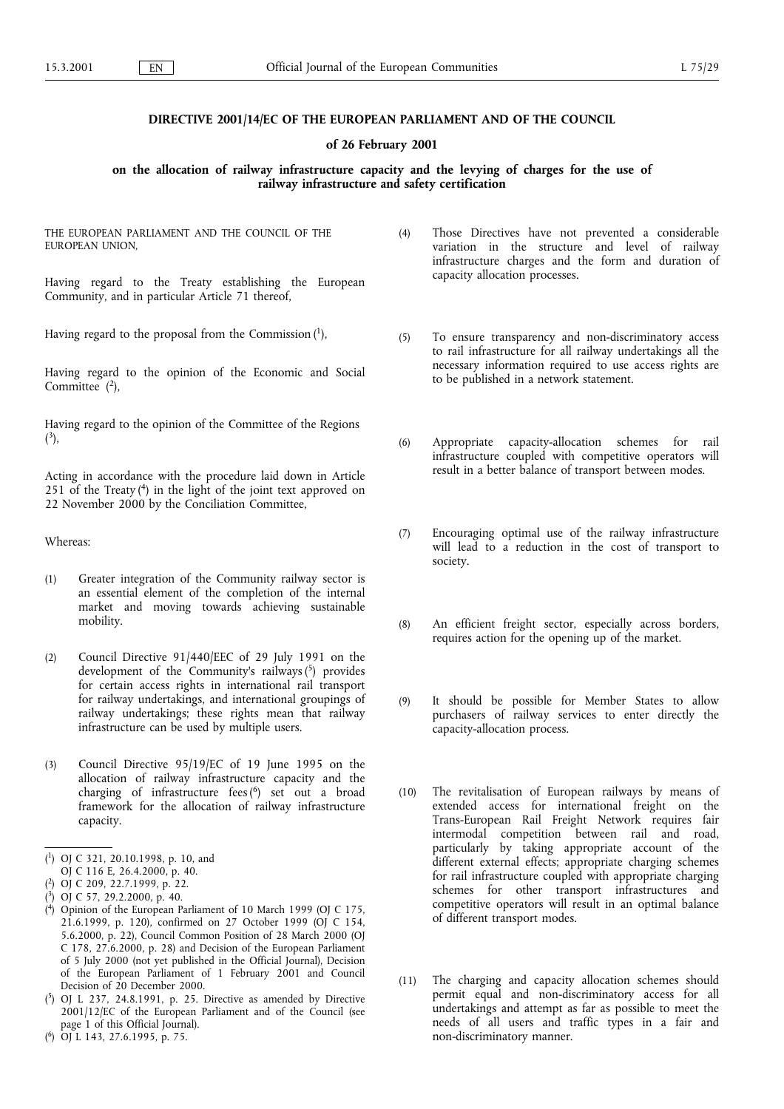## DIRECTIVE 2001/14/EC OF THE EUROPEAN PARLIAMENT AND OF THE COUNCIL

#### of 26 February 2001

## on the allocation of railway infrastructure capacity and the levying of charges for the use of railway infrastructure and safety certification

THE EUROPEAN PARLIAMENT AND THE COUNCIL OF THE EUROPEAN UNION,

Having regard to the Treaty establishing the European Community, and in particular Article 71 thereof,

Having regard to the proposal from the Commission  $(1)$ ,

Having regard to the opinion of the Economic and Social Committee  $(2)$ ,

Having regard to the opinion of the Committee of the Regions  $(3),$ 

Acting in accordance with the procedure laid down in Article 251 of the Treaty  $(4)$  in the light of the joint text approved on 22 November 2000 by the Conciliation Committee,

Whereas:

- (1) Greater integration of the Community railway sector is an essential element of the completion of the internal market and moving towards achieving sustainable mobility.
- (2) Council Directive 91/440/EEC of 29 July 1991 on the development of the Community's railways $(5)$  provides for certain access rights in international rail transport for railway undertakings, and international groupings of railway undertakings; these rights mean that railway infrastructure can be used by multiple users.
- (3) Council Directive 95/19/EC of 19 June 1995 on the allocation of railway infrastructure capacity and the charging of infrastructure fees (6 ) set out a broad framework for the allocation of railway infrastructure capacity.

- ( 4) Opinion of the European Parliament of 10 March 1999 (OJ C 175, 21.6.1999, p. 120), confirmed on 27 October 1999 (OJ C 154, 5.6.2000, p. 22), Council Common Position of 28 March 2000 (OJ C 178, 27.6.2000, p. 28) and Decision of the European Parliament of 5 July 2000 (not yet published in the Official Journal), Decision of the European Parliament of 1 February 2001 and Council Decision of 20 December 2000.
- $(^5)$  OJ L 237, 24.8.1991, p. 25. Directive as amended by Directive 2001/12/EC of the European Parliament and of the Council (see page 1 of this Official Journal).
- ( 6) OJ L 143, 27.6.1995, p. 75.
- (4) Those Directives have not prevented a considerable variation in the structure and level of railway infrastructure charges and the form and duration of capacity allocation processes.
- (5) To ensure transparency and non-discriminatory access to rail infrastructure for all railway undertakings all the necessary information required to use access rights are to be published in a network statement.
- (6) Appropriate capacity-allocation schemes for rail infrastructure coupled with competitive operators will result in a better balance of transport between modes.
- (7) Encouraging optimal use of the railway infrastructure will lead to a reduction in the cost of transport to society.
- (8) An efficient freight sector, especially across borders, requires action for the opening up of the market.
- (9) It should be possible for Member States to allow purchasers of railway services to enter directly the capacity-allocation process.
- (10) The revitalisation of European railways by means of extended access for international freight on the Trans-European Rail Freight Network requires fair intermodal competition between rail and road, particularly by taking appropriate account of the different external effects; appropriate charging schemes for rail infrastructure coupled with appropriate charging schemes for other transport infrastructures and competitive operators will result in an optimal balance of different transport modes.
- (11) The charging and capacity allocation schemes should permit equal and non-discriminatory access for all undertakings and attempt as far as possible to meet the needs of all users and traffic types in a fair and non-discriminatory manner.

<sup>(</sup> 1) OJ C 321, 20.10.1998, p. 10, and

OJ C 116 E, 26.4.2000, p. 40.

<sup>(</sup> 2) OJ C 209, 22.7.1999, p. 22.

<sup>(</sup> 3) OJ C 57, 29.2.2000, p. 40.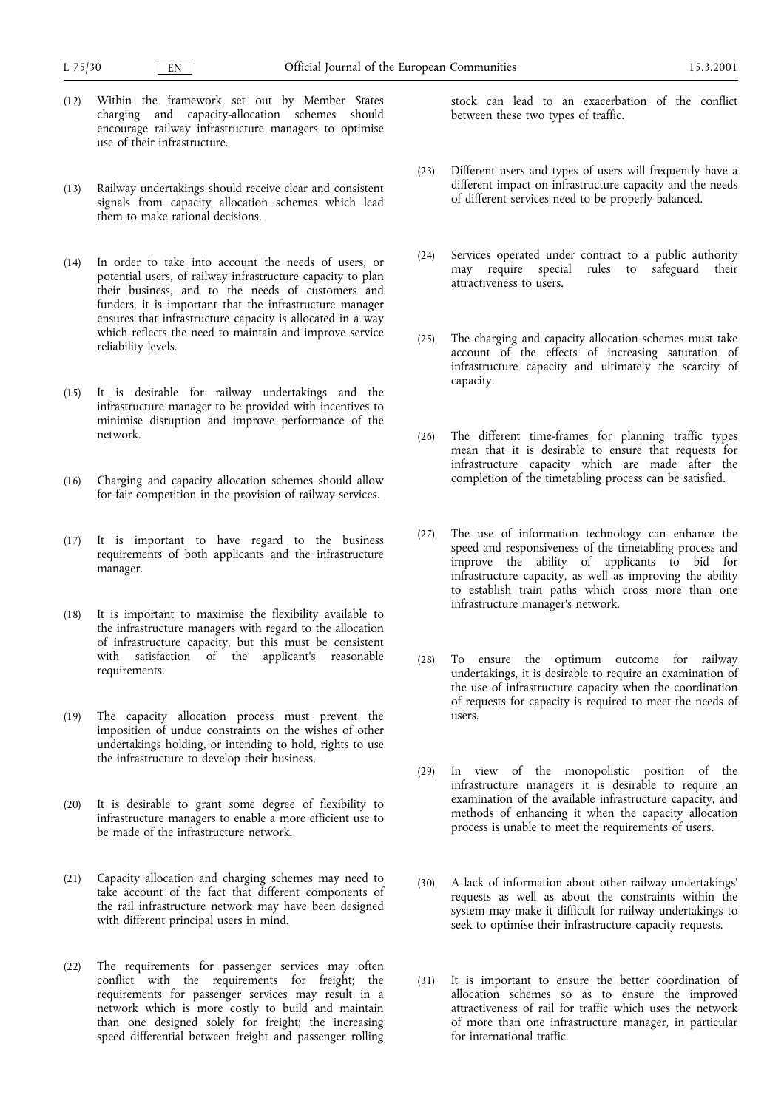- (12) Within the framework set out by Member States charging and capacity-allocation schemes should encourage railway infrastructure managers to optimise use of their infrastructure.
- (13) Railway undertakings should receive clear and consistent signals from capacity allocation schemes which lead them to make rational decisions.
- (14) In order to take into account the needs of users, or potential users, of railway infrastructure capacity to plan their business, and to the needs of customers and funders, it is important that the infrastructure manager ensures that infrastructure capacity is allocated in a way which reflects the need to maintain and improve service reliability levels.
- (15) It is desirable for railway undertakings and the infrastructure manager to be provided with incentives to minimise disruption and improve performance of the network.
- (16) Charging and capacity allocation schemes should allow for fair competition in the provision of railway services.
- (17) It is important to have regard to the business requirements of both applicants and the infrastructure manager.
- (18) It is important to maximise the flexibility available to the infrastructure managers with regard to the allocation of infrastructure capacity, but this must be consistent with satisfaction of the applicant's reasonable requirements.
- (19) The capacity allocation process must prevent the imposition of undue constraints on the wishes of other undertakings holding, or intending to hold, rights to use the infrastructure to develop their business.
- (20) It is desirable to grant some degree of flexibility to infrastructure managers to enable a more efficient use to be made of the infrastructure network.
- (21) Capacity allocation and charging schemes may need to take account of the fact that different components of the rail infrastructure network may have been designed with different principal users in mind.
- (22) The requirements for passenger services may often conflict with the requirements for freight; the requirements for passenger services may result in a network which is more costly to build and maintain than one designed solely for freight; the increasing speed differential between freight and passenger rolling

stock can lead to an exacerbation of the conflict between these two types of traffic.

- (23) Different users and types of users will frequently have a different impact on infrastructure capacity and the needs of different services need to be properly balanced.
- (24) Services operated under contract to a public authority may require special rules to safeguard their attractiveness to users.
- (25) The charging and capacity allocation schemes must take account of the effects of increasing saturation of infrastructure capacity and ultimately the scarcity of capacity.
- (26) The different time-frames for planning traffic types mean that it is desirable to ensure that requests for infrastructure capacity which are made after the completion of the timetabling process can be satisfied.
- (27) The use of information technology can enhance the speed and responsiveness of the timetabling process and improve the ability of applicants to bid for infrastructure capacity, as well as improving the ability to establish train paths which cross more than one infrastructure manager's network.
- (28) To ensure the optimum outcome for railway undertakings, it is desirable to require an examination of the use of infrastructure capacity when the coordination of requests for capacity is required to meet the needs of users.
- (29) In view of the monopolistic position of the infrastructure managers it is desirable to require an examination of the available infrastructure capacity, and methods of enhancing it when the capacity allocation process is unable to meet the requirements of users.
- (30) A lack of information about other railway undertakings' requests as well as about the constraints within the system may make it difficult for railway undertakings to seek to optimise their infrastructure capacity requests.
- (31) It is important to ensure the better coordination of allocation schemes so as to ensure the improved attractiveness of rail for traffic which uses the network of more than one infrastructure manager, in particular for international traffic.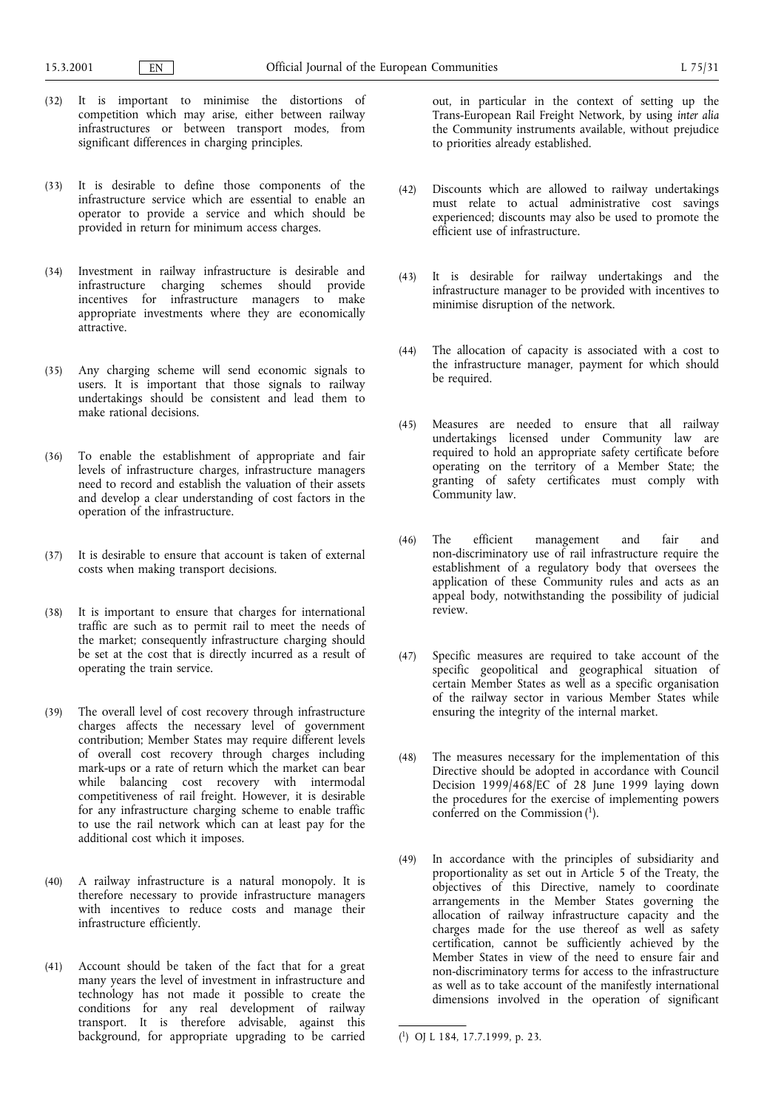- (32) It is important to minimise the distortions of competition which may arise, either between railway infrastructures or between transport modes, from significant differences in charging principles.
- (33) It is desirable to define those components of the infrastructure service which are essential to enable an operator to provide a service and which should be provided in return for minimum access charges.
- (34) Investment in railway infrastructure is desirable and infrastructure charging schemes should provide incentives for infrastructure managers to make appropriate investments where they are economically attractive.
- (35) Any charging scheme will send economic signals to users. It is important that those signals to railway undertakings should be consistent and lead them to make rational decisions.
- (36) To enable the establishment of appropriate and fair levels of infrastructure charges, infrastructure managers need to record and establish the valuation of their assets and develop a clear understanding of cost factors in the operation of the infrastructure.
- (37) It is desirable to ensure that account is taken of external costs when making transport decisions.
- (38) It is important to ensure that charges for international traffic are such as to permit rail to meet the needs of the market; consequently infrastructure charging should be set at the cost that is directly incurred as a result of operating the train service.
- (39) The overall level of cost recovery through infrastructure charges affects the necessary level of government contribution; Member States may require different levels of overall cost recovery through charges including mark-ups or a rate of return which the market can bear while balancing cost recovery with intermodal competitiveness of rail freight. However, it is desirable for any infrastructure charging scheme to enable traffic to use the rail network which can at least pay for the additional cost which it imposes.
- (40) A railway infrastructure is a natural monopoly. It is therefore necessary to provide infrastructure managers with incentives to reduce costs and manage their infrastructure efficiently.
- (41) Account should be taken of the fact that for a great many years the level of investment in infrastructure and technology has not made it possible to create the conditions for any real development of railway transport. It is therefore advisable, against this background, for appropriate upgrading to be carried

out, in particular in the context of setting up the Trans-European Rail Freight Network, by using inter alia the Community instruments available, without prejudice to priorities already established.

- (42) Discounts which are allowed to railway undertakings must relate to actual administrative cost savings experienced; discounts may also be used to promote the efficient use of infrastructure.
- (43) It is desirable for railway undertakings and the infrastructure manager to be provided with incentives to minimise disruption of the network.
- (44) The allocation of capacity is associated with a cost to the infrastructure manager, payment for which should be required.
- (45) Measures are needed to ensure that all railway undertakings licensed under Community law are required to hold an appropriate safety certificate before operating on the territory of a Member State; the granting of safety certificates must comply with Community law.
- (46) The efficient management and fair and non-discriminatory use of rail infrastructure require the establishment of a regulatory body that oversees the application of these Community rules and acts as an appeal body, notwithstanding the possibility of judicial review.
- (47) Specific measures are required to take account of the specific geopolitical and geographical situation of certain Member States as well as a specific organisation of the railway sector in various Member States while ensuring the integrity of the internal market.
- (48) The measures necessary for the implementation of this Directive should be adopted in accordance with Council Decision 1999/468/EC of 28 June 1999 laying down the procedures for the exercise of implementing powers conferred on the Commission  $(1)$ .
- (49) In accordance with the principles of subsidiarity and proportionality as set out in Article 5 of the Treaty, the objectives of this Directive, namely to coordinate arrangements in the Member States governing the allocation of railway infrastructure capacity and the charges made for the use thereof as well as safety certification, cannot be sufficiently achieved by the Member States in view of the need to ensure fair and non-discriminatory terms for access to the infrastructure as well as to take account of the manifestly international dimensions involved in the operation of significant

<sup>(</sup> 1) OJ L 184, 17.7.1999, p. 23.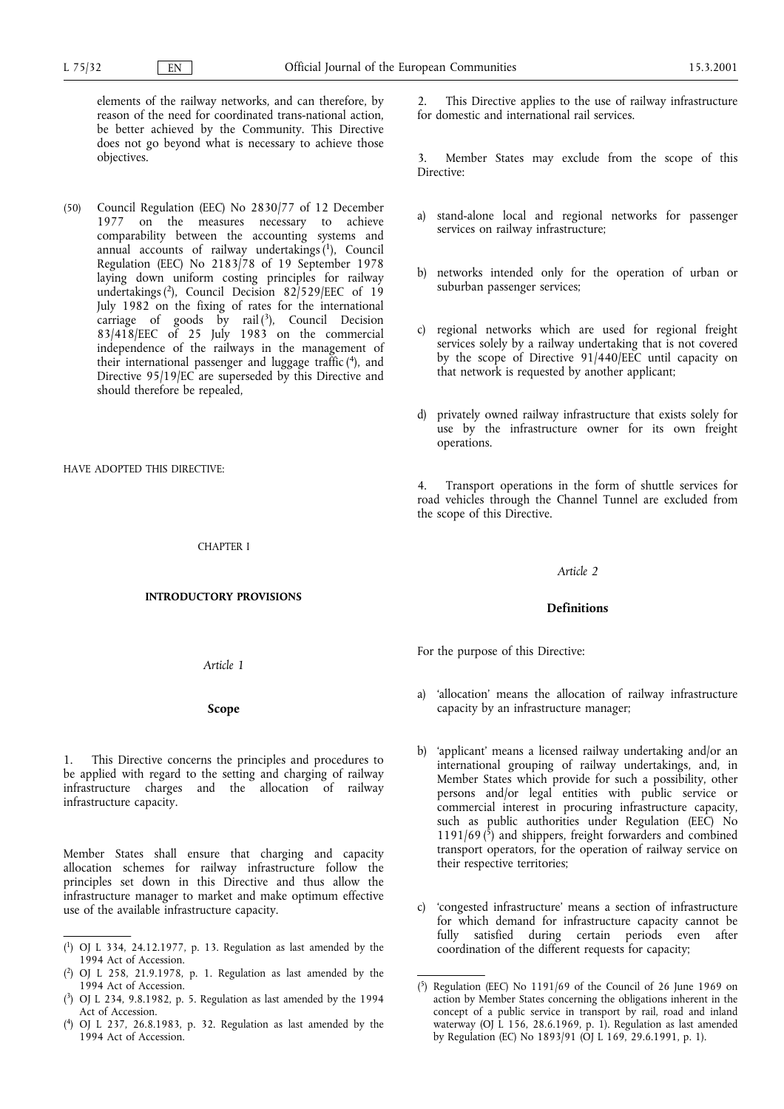elements of the railway networks, and can therefore, by reason of the need for coordinated trans-national action, be better achieved by the Community. This Directive does not go beyond what is necessary to achieve those objectives.

(50) Council Regulation (EEC) No 2830/77 of 12 December 1977 on the measures necessary to achieve comparability between the accounting systems and annual accounts of railway undertakings  $(1)$ , Council Regulation (EEC) No 2183/78 of 19 September 1978 laying down uniform costing principles for railway undertakings (2), Council Decision 82/529/EEC of 19 July 1982 on the fixing of rates for the international carriage of goods  $\check{b}y$  rail (3), Council Decision 83/418/EEC of 25 July 1983 on the commercial independence of the railways in the management of their international passenger and luggage traffic  $(4)$ , and Directive 95/19/EC are superseded by this Directive and should therefore be repealed,

HAVE ADOPTED THIS DIRECTIVE:

### CHAPTER I

### INTRODUCTORY PROVISIONS

Article 1

Scope

This Directive concerns the principles and procedures to be applied with regard to the setting and charging of railway infrastructure charges and the allocation of railway infrastructure capacity.

Member States shall ensure that charging and capacity allocation schemes for railway infrastructure follow the principles set down in this Directive and thus allow the infrastructure manager to market and make optimum effective use of the available infrastructure capacity.

- $(1)$  OJ L 334, 24.12.1977, p. 13. Regulation as last amended by the coordination of the different requests for capacity; 1994 Act of Accession.
- ( 2) OJ L 258, 21.9.1978, p. 1. Regulation as last amended by the 1994 Act of Accession.
- ( 3) OJ L 234, 9.8.1982, p. 5. Regulation as last amended by the 1994 Act of Accession.
- ( 4) OJ L 237, 26.8.1983, p. 32. Regulation as last amended by the 1994 Act of Accession.

This Directive applies to the use of railway infrastructure for domestic and international rail services.

3. Member States may exclude from the scope of this Directive:

- a) stand-alone local and regional networks for passenger services on railway infrastructure;
- b) networks intended only for the operation of urban or suburban passenger services;
- c) regional networks which are used for regional freight services solely by a railway undertaking that is not covered by the scope of Directive 91/440/EEC until capacity on that network is requested by another applicant;
- d) privately owned railway infrastructure that exists solely for use by the infrastructure owner for its own freight operations.

4. Transport operations in the form of shuttle services for road vehicles through the Channel Tunnel are excluded from the scope of this Directive.

## Article 2

## Definitions

For the purpose of this Directive:

- a) 'allocation' means the allocation of railway infrastructure capacity by an infrastructure manager;
- b) 'applicant' means a licensed railway undertaking and/or an international grouping of railway undertakings, and, in Member States which provide for such a possibility, other persons and/or legal entities with public service or commercial interest in procuring infrastructure capacity, such as public authorities under Regulation (EEC) No 1191/69 $(\bar{5})$  and shippers, freight forwarders and combined transport operators, for the operation of railway service on their respective territories;
- c) 'congested infrastructure' means a section of infrastructure for which demand for infrastructure capacity cannot be fully satisfied during certain periods even after

<sup>(</sup> 5) Regulation (EEC) No 1191/69 of the Council of 26 June 1969 on action by Member States concerning the obligations inherent in the concept of a public service in transport by rail, road and inland waterway (OJ L 156, 28.6.1969, p. 1). Regulation as last amended by Regulation (EC) No 1893/91 (OJ L 169, 29.6.1991, p. 1).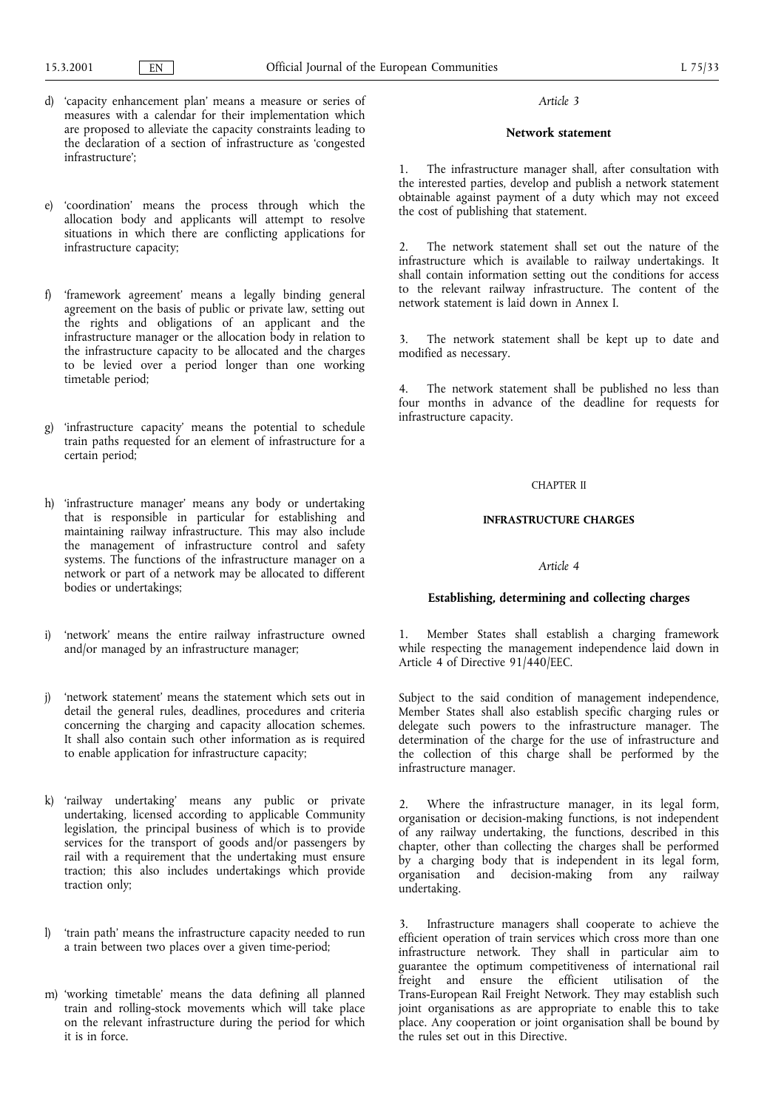- d) 'capacity enhancement plan' means a measure or series of measures with a calendar for their implementation which are proposed to alleviate the capacity constraints leading to the declaration of a section of infrastructure as 'congested infrastructure<sup>"</sup>
- e) 'coordination' means the process through which the allocation body and applicants will attempt to resolve situations in which there are conflicting applications for infrastructure capacity;
- f) 'framework agreement' means a legally binding general agreement on the basis of public or private law, setting out the rights and obligations of an applicant and the infrastructure manager or the allocation body in relation to the infrastructure capacity to be allocated and the charges to be levied over a period longer than one working timetable period;
- g) infrastructure capacity means the potential to schedule train paths requested for an element of infrastructure for a certain period;
- h) 'infrastructure manager' means any body or undertaking that is responsible in particular for establishing and maintaining railway infrastructure. This may also include the management of infrastructure control and safety systems. The functions of the infrastructure manager on a network or part of a network may be allocated to different bodies or undertakings;
- i) 'network' means the entire railway infrastructure owned and/or managed by an infrastructure manager;
- j) 'network statement' means the statement which sets out in detail the general rules, deadlines, procedures and criteria concerning the charging and capacity allocation schemes. It shall also contain such other information as is required to enable application for infrastructure capacity;
- k) 'railway undertaking' means any public or private undertaking, licensed according to applicable Community legislation, the principal business of which is to provide services for the transport of goods and/or passengers by rail with a requirement that the undertaking must ensure traction; this also includes undertakings which provide traction only;
- l) train path' means the infrastructure capacity needed to run a train between two places over a given time-period;
- m) 'working timetable' means the data defining all planned train and rolling-stock movements which will take place on the relevant infrastructure during the period for which it is in force.

### Network statement

The infrastructure manager shall, after consultation with the interested parties, develop and publish a network statement obtainable against payment of a duty which may not exceed the cost of publishing that statement.

2. The network statement shall set out the nature of the infrastructure which is available to railway undertakings. It shall contain information setting out the conditions for access to the relevant railway infrastructure. The content of the network statement is laid down in Annex I.

3. The network statement shall be kept up to date and modified as necessary.

4. The network statement shall be published no less than four months in advance of the deadline for requests for infrastructure capacity.

## CHAPTER II

### INFRASTRUCTURE CHARGES

## Article 4

#### Establishing, determining and collecting charges

1. Member States shall establish a charging framework while respecting the management independence laid down in Article 4 of Directive 91/440/EEC.

Subject to the said condition of management independence, Member States shall also establish specific charging rules or delegate such powers to the infrastructure manager. The determination of the charge for the use of infrastructure and the collection of this charge shall be performed by the infrastructure manager.

2. Where the infrastructure manager, in its legal form, organisation or decision-making functions, is not independent of any railway undertaking, the functions, described in this chapter, other than collecting the charges shall be performed by a charging body that is independent in its legal form, organisation and decision-making from any railway undertaking.

3. Infrastructure managers shall cooperate to achieve the efficient operation of train services which cross more than one infrastructure network. They shall in particular aim to guarantee the optimum competitiveness of international rail freight and ensure the efficient utilisation of the Trans-European Rail Freight Network. They may establish such joint organisations as are appropriate to enable this to take place. Any cooperation or joint organisation shall be bound by the rules set out in this Directive.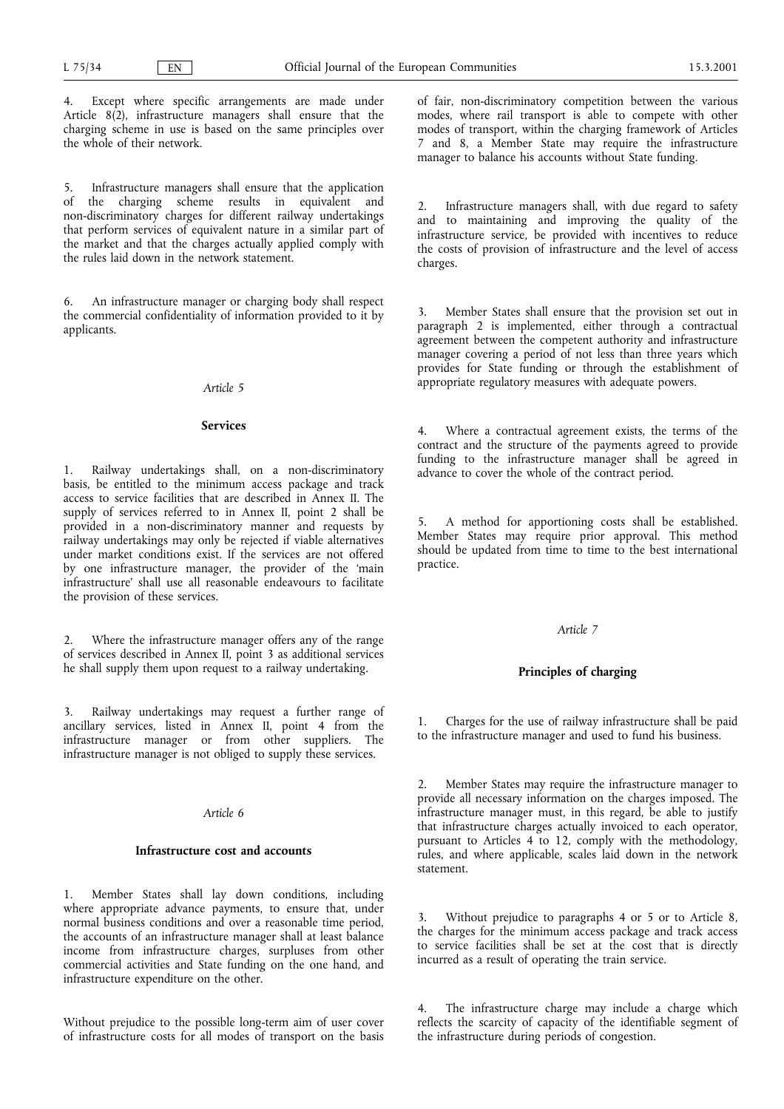4. Except where specific arrangements are made under Article 8(2), infrastructure managers shall ensure that the charging scheme in use is based on the same principles over the whole of their network.

5. Infrastructure managers shall ensure that the application<br>of the charging scheme results in equivalent and the charging scheme results in equivalent and non-discriminatory charges for different railway undertakings that perform services of equivalent nature in a similar part of the market and that the charges actually applied comply with the rules laid down in the network statement.

6. An infrastructure manager or charging body shall respect the commercial confidentiality of information provided to it by applicants.

### Article 5

#### Services

1. Railway undertakings shall, on a non-discriminatory basis, be entitled to the minimum access package and track access to service facilities that are described in Annex II. The supply of services referred to in Annex II, point 2 shall be provided in a non-discriminatory manner and requests by railway undertakings may only be rejected if viable alternatives under market conditions exist. If the services are not offered by one infrastructure manager, the provider of the 'main infrastructure' shall use all reasonable endeavours to facilitate the provision of these services.

2. Where the infrastructure manager offers any of the range of services described in Annex II, point 3 as additional services he shall supply them upon request to a railway undertaking.

3. Railway undertakings may request a further range of ancillary services, listed in Annex II, point 4 from the infrastructure manager or from other suppliers. The infrastructure manager is not obliged to supply these services.

## Article 6

#### Infrastructure cost and accounts

1. Member States shall lay down conditions, including where appropriate advance payments, to ensure that, under normal business conditions and over a reasonable time period, the accounts of an infrastructure manager shall at least balance income from infrastructure charges, surpluses from other commercial activities and State funding on the one hand, and infrastructure expenditure on the other.

Without prejudice to the possible long-term aim of user cover of infrastructure costs for all modes of transport on the basis

of fair, non-discriminatory competition between the various modes, where rail transport is able to compete with other modes of transport, within the charging framework of Articles 7 and 8, a Member State may require the infrastructure manager to balance his accounts without State funding.

Infrastructure managers shall, with due regard to safety and to maintaining and improving the quality of the infrastructure service, be provided with incentives to reduce the costs of provision of infrastructure and the level of access charges.

3. Member States shall ensure that the provision set out in paragraph 2 is implemented, either through a contractual agreement between the competent authority and infrastructure manager covering a period of not less than three years which provides for State funding or through the establishment of appropriate regulatory measures with adequate powers.

4. Where a contractual agreement exists, the terms of the contract and the structure of the payments agreed to provide funding to the infrastructure manager shall be agreed in advance to cover the whole of the contract period.

5. A method for apportioning costs shall be established. Member States may require prior approval. This method should be updated from time to time to the best international practice.

#### Article 7

### Principles of charging

1. Charges for the use of railway infrastructure shall be paid to the infrastructure manager and used to fund his business.

2. Member States may require the infrastructure manager to provide all necessary information on the charges imposed. The infrastructure manager must, in this regard, be able to justify that infrastructure charges actually invoiced to each operator, pursuant to Articles 4 to 12, comply with the methodology, rules, and where applicable, scales laid down in the network statement.

3. Without prejudice to paragraphs 4 or 5 or to Article 8, the charges for the minimum access package and track access to service facilities shall be set at the cost that is directly incurred as a result of operating the train service.

The infrastructure charge may include a charge which reflects the scarcity of capacity of the identifiable segment of the infrastructure during periods of congestion.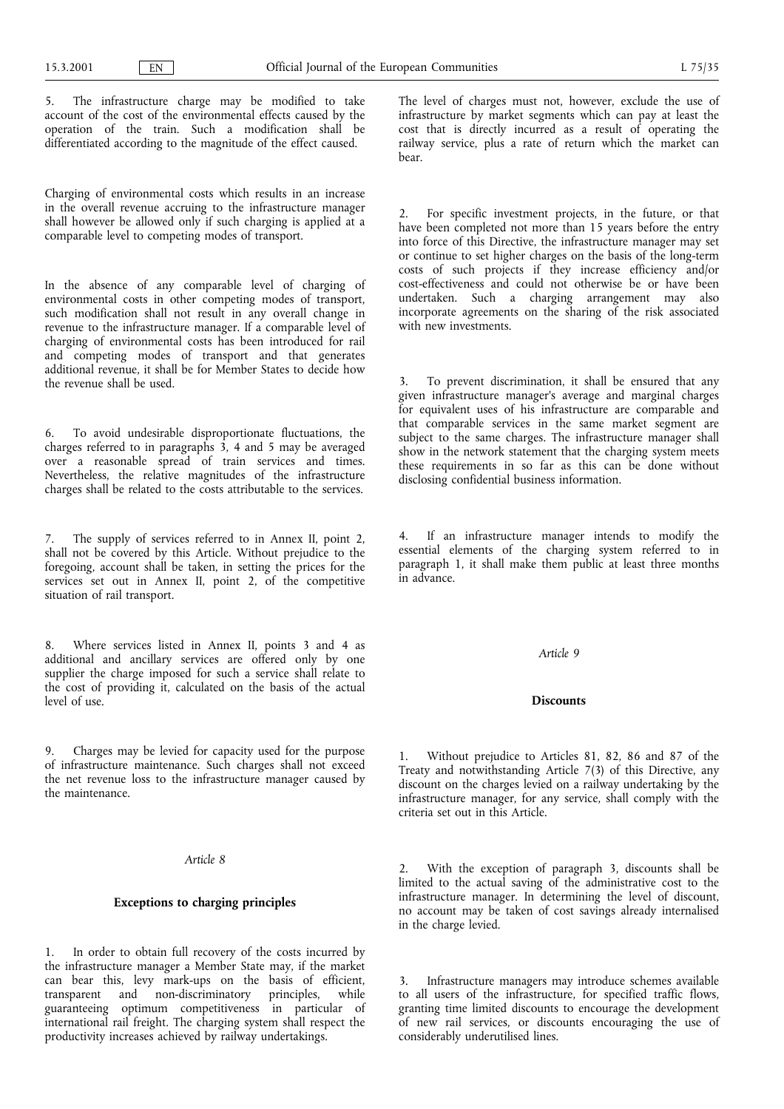5. The infrastructure charge may be modified to take account of the cost of the environmental effects caused by the operation of the train. Such a modification shall be differentiated according to the magnitude of the effect caused.

Charging of environmental costs which results in an increase in the overall revenue accruing to the infrastructure manager shall however be allowed only if such charging is applied at a comparable level to competing modes of transport.

In the absence of any comparable level of charging of environmental costs in other competing modes of transport, such modification shall not result in any overall change in revenue to the infrastructure manager. If a comparable level of charging of environmental costs has been introduced for rail and competing modes of transport and that generates additional revenue, it shall be for Member States to decide how the revenue shall be used.

6. To avoid undesirable disproportionate fluctuations, the charges referred to in paragraphs 3, 4 and 5 may be averaged over a reasonable spread of train services and times. Nevertheless, the relative magnitudes of the infrastructure charges shall be related to the costs attributable to the services.

The supply of services referred to in Annex II, point 2, shall not be covered by this Article. Without prejudice to the foregoing, account shall be taken, in setting the prices for the services set out in Annex II, point 2, of the competitive situation of rail transport.

8. Where services listed in Annex II, points 3 and 4 as additional and ancillary services are offered only by one supplier the charge imposed for such a service shall relate to the cost of providing it, calculated on the basis of the actual level of use.

9. Charges may be levied for capacity used for the purpose of infrastructure maintenance. Such charges shall not exceed the net revenue loss to the infrastructure manager caused by the maintenance.

### Article 8

## Exceptions to charging principles

In order to obtain full recovery of the costs incurred by the infrastructure manager a Member State may, if the market can bear this, levy mark-ups on the basis of efficient, transparent and non-discriminatory principles, while guaranteeing optimum competitiveness in particular of international rail freight. The charging system shall respect the productivity increases achieved by railway undertakings.

The level of charges must not, however, exclude the use of infrastructure by market segments which can pay at least the cost that is directly incurred as a result of operating the railway service, plus a rate of return which the market can bear.

2. For specific investment projects, in the future, or that have been completed not more than 15 years before the entry into force of this Directive, the infrastructure manager may set or continue to set higher charges on the basis of the long-term costs of such projects if they increase efficiency and/or cost-effectiveness and could not otherwise be or have been undertaken. Such a charging arrangement may also incorporate agreements on the sharing of the risk associated with new investments.

3. To prevent discrimination, it shall be ensured that any given infrastructure manager's average and marginal charges for equivalent uses of his infrastructure are comparable and that comparable services in the same market segment are subject to the same charges. The infrastructure manager shall show in the network statement that the charging system meets these requirements in so far as this can be done without disclosing confidential business information.

If an infrastructure manager intends to modify the essential elements of the charging system referred to in paragraph 1, it shall make them public at least three months in advance.

#### Article 9

### **Discounts**

1. Without prejudice to Articles 81, 82, 86 and 87 of the Treaty and notwithstanding Article 7(3) of this Directive, any discount on the charges levied on a railway undertaking by the infrastructure manager, for any service, shall comply with the criteria set out in this Article.

2. With the exception of paragraph 3, discounts shall be limited to the actual saving of the administrative cost to the infrastructure manager. In determining the level of discount, no account may be taken of cost savings already internalised in the charge levied.

3. Infrastructure managers may introduce schemes available to all users of the infrastructure, for specified traffic flows, granting time limited discounts to encourage the development of new rail services, or discounts encouraging the use of considerably underutilised lines.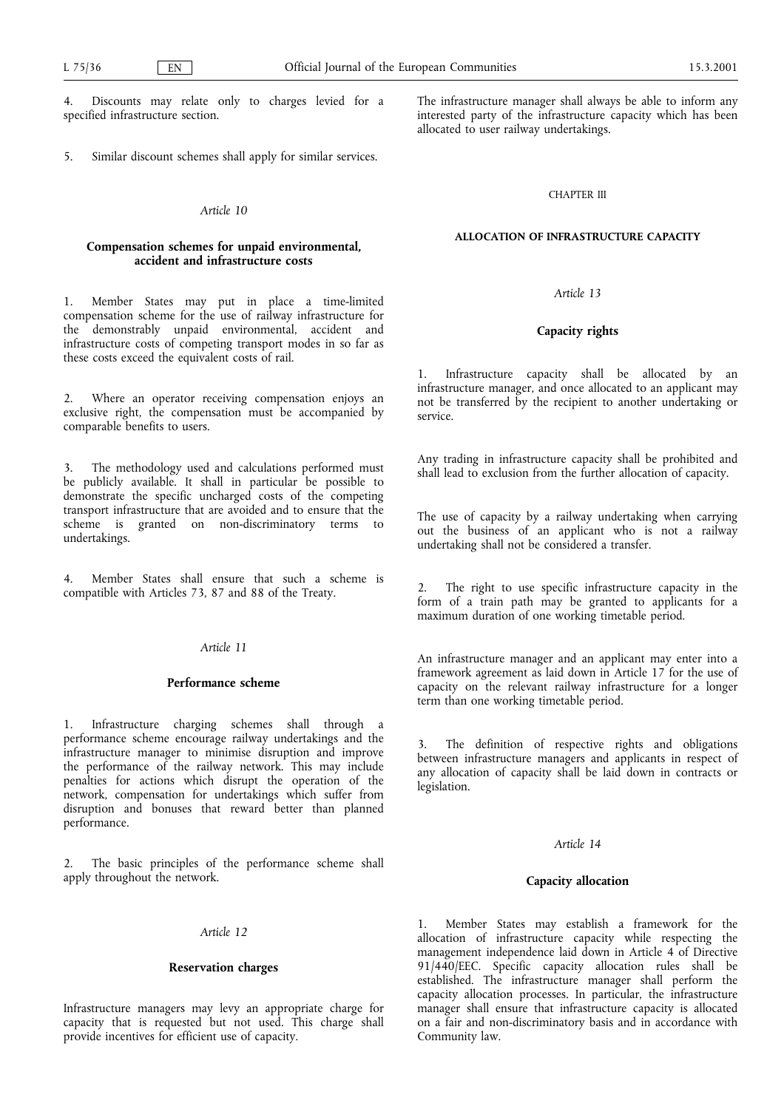Discounts may relate only to charges levied for a specified infrastructure section.

5. Similar discount schemes shall apply for similar services.

## Article 10

## Compensation schemes for unpaid environmental, accident and infrastructure costs

1. Member States may put in place a time-limited compensation scheme for the use of railway infrastructure for the demonstrably unpaid environmental, accident and infrastructure costs of competing transport modes in so far as these costs exceed the equivalent costs of rail.

2. Where an operator receiving compensation enjoys an exclusive right, the compensation must be accompanied by comparable benefits to users.

3. The methodology used and calculations performed must be publicly available. It shall in particular be possible to demonstrate the specific uncharged costs of the competing transport infrastructure that are avoided and to ensure that the scheme is granted on non-discriminatory terms to undertakings.

4. Member States shall ensure that such a scheme is compatible with Articles 73, 87 and 88 of the Treaty.

### Article 11

#### Performance scheme

1. Infrastructure charging schemes shall through a performance scheme encourage railway undertakings and the infrastructure manager to minimise disruption and improve the performance of the railway network. This may include penalties for actions which disrupt the operation of the network, compensation for undertakings which suffer from disruption and bonuses that reward better than planned performance.

The basic principles of the performance scheme shall apply throughout the network.

# Article 12

#### Reservation charges

Infrastructure managers may levy an appropriate charge for capacity that is requested but not used. This charge shall provide incentives for efficient use of capacity.

The infrastructure manager shall always be able to inform any interested party of the infrastructure capacity which has been allocated to user railway undertakings.

#### CHAPTER III

# ALLOCATION OF INFRASTRUCTURE CAPACITY

## Article 13

# Capacity rights

1. Infrastructure capacity shall be allocated by an infrastructure manager, and once allocated to an applicant may not be transferred by the recipient to another undertaking or service.

Any trading in infrastructure capacity shall be prohibited and shall lead to exclusion from the further allocation of capacity.

The use of capacity by a railway undertaking when carrying out the business of an applicant who is not a railway undertaking shall not be considered a transfer.

The right to use specific infrastructure capacity in the form of a train path may be granted to applicants for a maximum duration of one working timetable period.

An infrastructure manager and an applicant may enter into a framework agreement as laid down in Article 17 for the use of capacity on the relevant railway infrastructure for a longer term than one working timetable period.

The definition of respective rights and obligations between infrastructure managers and applicants in respect of any allocation of capacity shall be laid down in contracts or legislation.

## Article 14

### Capacity allocation

1. Member States may establish a framework for the allocation of infrastructure capacity while respecting the management independence laid down in Article 4 of Directive 91/440/EEC. Specific capacity allocation rules shall be established. The infrastructure manager shall perform the capacity allocation processes. In particular, the infrastructure manager shall ensure that infrastructure capacity is allocated on a fair and non-discriminatory basis and in accordance with Community law.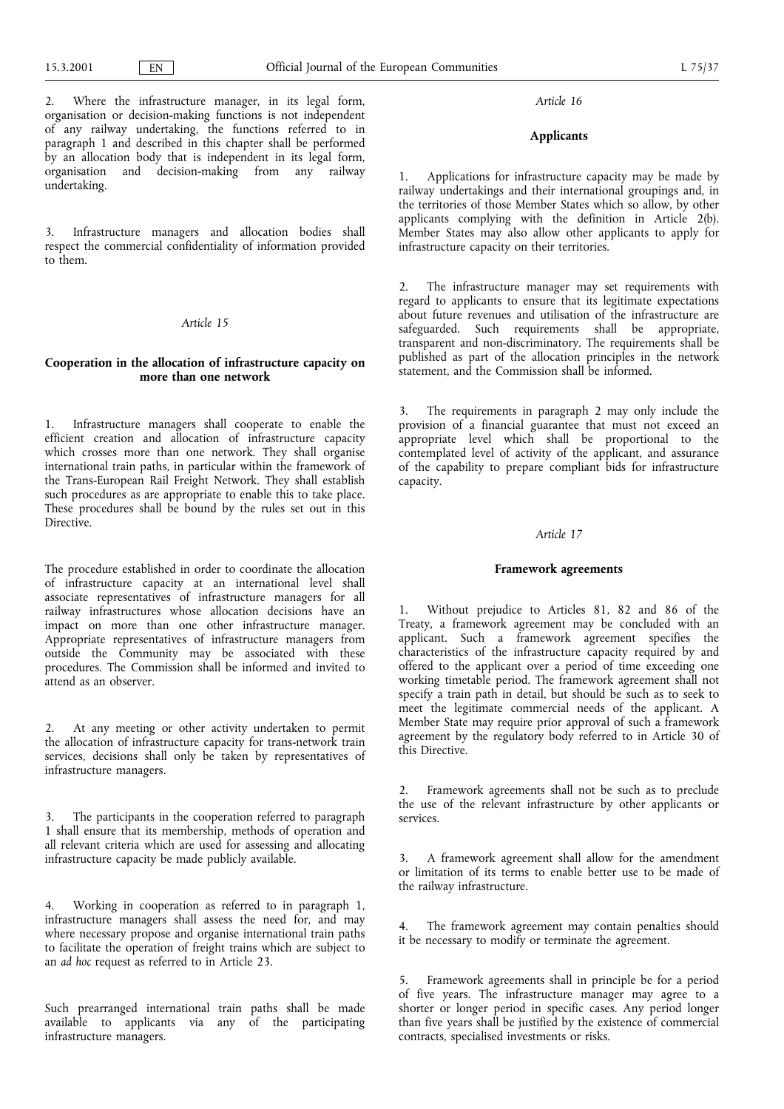# Applicants

1. Applications for infrastructure capacity may be made by railway undertakings and their international groupings and, in the territories of those Member States which so allow, by other applicants complying with the definition in Article 2(b). Member States may also allow other applicants to apply for infrastructure capacity on their territories.

The infrastructure manager may set requirements with regard to applicants to ensure that its legitimate expectations about future revenues and utilisation of the infrastructure are safeguarded. Such requirements shall be appropriate, transparent and non-discriminatory. The requirements shall be published as part of the allocation principles in the network statement, and the Commission shall be informed.

3. The requirements in paragraph 2 may only include the provision of a financial guarantee that must not exceed an appropriate level which shall be proportional to the contemplated level of activity of the applicant, and assurance of the capability to prepare compliant bids for infrastructure capacity.

#### Article 17

#### Framework agreements

1. Without prejudice to Articles 81, 82 and 86 of the Treaty, a framework agreement may be concluded with an applicant. Such a framework agreement specifies the characteristics of the infrastructure capacity required by and offered to the applicant over a period of time exceeding one working timetable period. The framework agreement shall not specify a train path in detail, but should be such as to seek to meet the legitimate commercial needs of the applicant. A Member State may require prior approval of such a framework agreement by the regulatory body referred to in Article 30 of this Directive.

2. Framework agreements shall not be such as to preclude the use of the relevant infrastructure by other applicants or services.

3. A framework agreement shall allow for the amendment or limitation of its terms to enable better use to be made of the railway infrastructure.

4. The framework agreement may contain penalties should it be necessary to modify or terminate the agreement.

5. Framework agreements shall in principle be for a period of five years. The infrastructure manager may agree to a shorter or longer period in specific cases. Any period longer than five years shall be justified by the existence of commercial contracts, specialised investments or risks.

2. Where the infrastructure manager, in its legal form, organisation or decision-making functions is not independent of any railway undertaking, the functions referred to in paragraph 1 and described in this chapter shall be performed by an allocation body that is independent in its legal form, organisation and decision-making from any railway undertaking.

3. Infrastructure managers and allocation bodies shall respect the commercial confidentiality of information provided to them.

# Article 15

## Cooperation in the allocation of infrastructure capacity on more than one network

1. Infrastructure managers shall cooperate to enable the efficient creation and allocation of infrastructure capacity which crosses more than one network. They shall organise international train paths, in particular within the framework of the Trans-European Rail Freight Network. They shall establish such procedures as are appropriate to enable this to take place. These procedures shall be bound by the rules set out in this Directive.

The procedure established in order to coordinate the allocation of infrastructure capacity at an international level shall associate representatives of infrastructure managers for all railway infrastructures whose allocation decisions have an impact on more than one other infrastructure manager. Appropriate representatives of infrastructure managers from outside the Community may be associated with these procedures. The Commission shall be informed and invited to attend as an observer.

At any meeting or other activity undertaken to permit the allocation of infrastructure capacity for trans-network train services, decisions shall only be taken by representatives of infrastructure managers.

The participants in the cooperation referred to paragraph 1 shall ensure that its membership, methods of operation and all relevant criteria which are used for assessing and allocating infrastructure capacity be made publicly available.

4. Working in cooperation as referred to in paragraph 1, infrastructure managers shall assess the need for, and may where necessary propose and organise international train paths to facilitate the operation of freight trains which are subject to an ad hoc request as referred to in Article 23.

Such prearranged international train paths shall be made available to applicants via any of the participating infrastructure managers.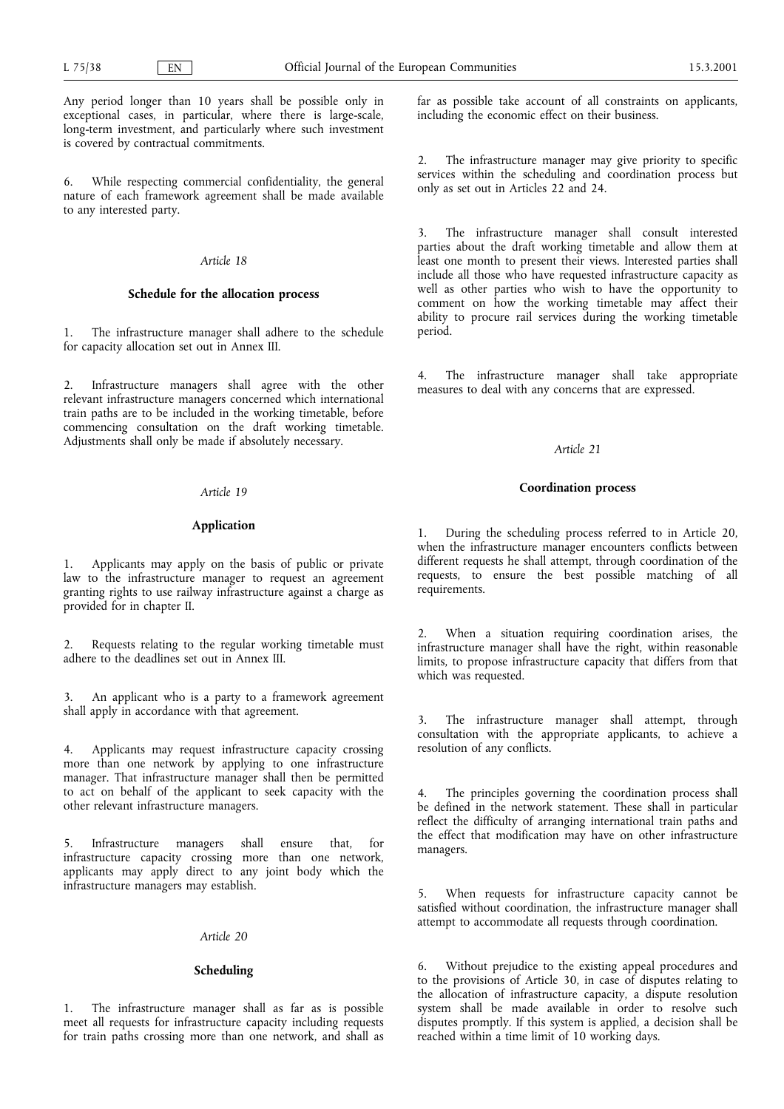Any period longer than 10 years shall be possible only in exceptional cases, in particular, where there is large-scale, long-term investment, and particularly where such investment is covered by contractual commitments.

6. While respecting commercial confidentiality, the general nature of each framework agreement shall be made available to any interested party.

#### Article 18

### Schedule for the allocation process

1. The infrastructure manager shall adhere to the schedule for capacity allocation set out in Annex III.

2. Infrastructure managers shall agree with the other relevant infrastructure managers concerned which international train paths are to be included in the working timetable, before commencing consultation on the draft working timetable. Adjustments shall only be made if absolutely necessary.

### Article 19

## Application

1. Applicants may apply on the basis of public or private law to the infrastructure manager to request an agreement granting rights to use railway infrastructure against a charge as provided for in chapter II.

2. Requests relating to the regular working timetable must adhere to the deadlines set out in Annex III.

3. An applicant who is a party to a framework agreement shall apply in accordance with that agreement.

4. Applicants may request infrastructure capacity crossing more than one network by applying to one infrastructure manager. That infrastructure manager shall then be permitted to act on behalf of the applicant to seek capacity with the other relevant infrastructure managers.

5. Infrastructure managers shall ensure that, for infrastructure capacity crossing more than one network, applicants may apply direct to any joint body which the infrastructure managers may establish.

## Article 20

## Scheduling

1. The infrastructure manager shall as far as is possible meet all requests for infrastructure capacity including requests for train paths crossing more than one network, and shall as

far as possible take account of all constraints on applicants, including the economic effect on their business.

2. The infrastructure manager may give priority to specific services within the scheduling and coordination process but only as set out in Articles 22 and 24.

3. The infrastructure manager shall consult interested parties about the draft working timetable and allow them at least one month to present their views. Interested parties shall include all those who have requested infrastructure capacity as well as other parties who wish to have the opportunity to comment on how the working timetable may affect their ability to procure rail services during the working timetable period.

The infrastructure manager shall take appropriate measures to deal with any concerns that are expressed.

#### Article 21

#### Coordination process

1. During the scheduling process referred to in Article 20, when the infrastructure manager encounters conflicts between different requests he shall attempt, through coordination of the requests, to ensure the best possible matching of all requirements.

When a situation requiring coordination arises, the infrastructure manager shall have the right, within reasonable limits, to propose infrastructure capacity that differs from that which was requested.

3. The infrastructure manager shall attempt, through consultation with the appropriate applicants, to achieve a resolution of any conflicts.

The principles governing the coordination process shall be defined in the network statement. These shall in particular reflect the difficulty of arranging international train paths and the effect that modification may have on other infrastructure managers.

When requests for infrastructure capacity cannot be satisfied without coordination, the infrastructure manager shall attempt to accommodate all requests through coordination.

6. Without prejudice to the existing appeal procedures and to the provisions of Article 30, in case of disputes relating to the allocation of infrastructure capacity, a dispute resolution system shall be made available in order to resolve such disputes promptly. If this system is applied, a decision shall be reached within a time limit of 10 working days.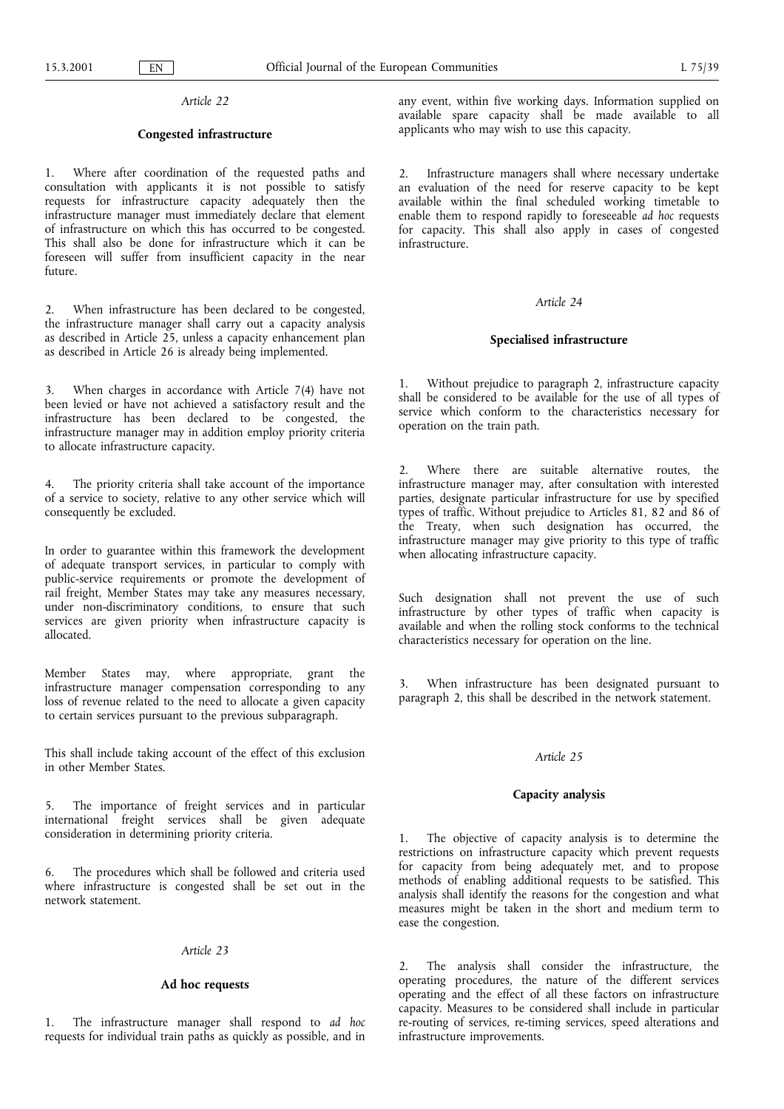## Congested infrastructure

1. Where after coordination of the requested paths and consultation with applicants it is not possible to satisfy requests for infrastructure capacity adequately then the infrastructure manager must immediately declare that element of infrastructure on which this has occurred to be congested. This shall also be done for infrastructure which it can be foreseen will suffer from insufficient capacity in the near future.

When infrastructure has been declared to be congested, the infrastructure manager shall carry out a capacity analysis as described in Article 25, unless a capacity enhancement plan as described in Article 26 is already being implemented.

3. When charges in accordance with Article 7(4) have not been levied or have not achieved a satisfactory result and the infrastructure has been declared to be congested, the infrastructure manager may in addition employ priority criteria to allocate infrastructure capacity.

4. The priority criteria shall take account of the importance of a service to society, relative to any other service which will consequently be excluded.

In order to guarantee within this framework the development of adequate transport services, in particular to comply with public-service requirements or promote the development of rail freight, Member States may take any measures necessary, under non-discriminatory conditions, to ensure that such services are given priority when infrastructure capacity is allocated.

Member States may, where appropriate, grant the infrastructure manager compensation corresponding to any loss of revenue related to the need to allocate a given capacity to certain services pursuant to the previous subparagraph.

This shall include taking account of the effect of this exclusion in other Member States.

The importance of freight services and in particular international freight services shall be given adequate consideration in determining priority criteria.

6. The procedures which shall be followed and criteria used where infrastructure is congested shall be set out in the network statement.

#### Article 23

## Ad hoc requests

1. The infrastructure manager shall respond to ad hoc requests for individual train paths as quickly as possible, and in any event, within five working days. Information supplied on available spare capacity shall be made available to all applicants who may wish to use this capacity.

2. Infrastructure managers shall where necessary undertake an evaluation of the need for reserve capacity to be kept available within the final scheduled working timetable to enable them to respond rapidly to foreseeable ad hoc requests for capacity. This shall also apply in cases of congested infrastructure.

## Article 24

### Specialised infrastructure

1. Without prejudice to paragraph 2, infrastructure capacity shall be considered to be available for the use of all types of service which conform to the characteristics necessary for operation on the train path.

2. Where there are suitable alternative routes, the infrastructure manager may, after consultation with interested parties, designate particular infrastructure for use by specified types of traffic. Without prejudice to Articles 81, 82 and 86 of the Treaty, when such designation has occurred, the infrastructure manager may give priority to this type of traffic when allocating infrastructure capacity.

Such designation shall not prevent the use of such infrastructure by other types of traffic when capacity is available and when the rolling stock conforms to the technical characteristics necessary for operation on the line.

3. When infrastructure has been designated pursuant to paragraph 2, this shall be described in the network statement.

## Article 25

#### Capacity analysis

1. The objective of capacity analysis is to determine the restrictions on infrastructure capacity which prevent requests for capacity from being adequately met, and to propose methods of enabling additional requests to be satisfied. This analysis shall identify the reasons for the congestion and what measures might be taken in the short and medium term to ease the congestion.

2. The analysis shall consider the infrastructure, the operating procedures, the nature of the different services operating and the effect of all these factors on infrastructure capacity. Measures to be considered shall include in particular re-routing of services, re-timing services, speed alterations and infrastructure improvements.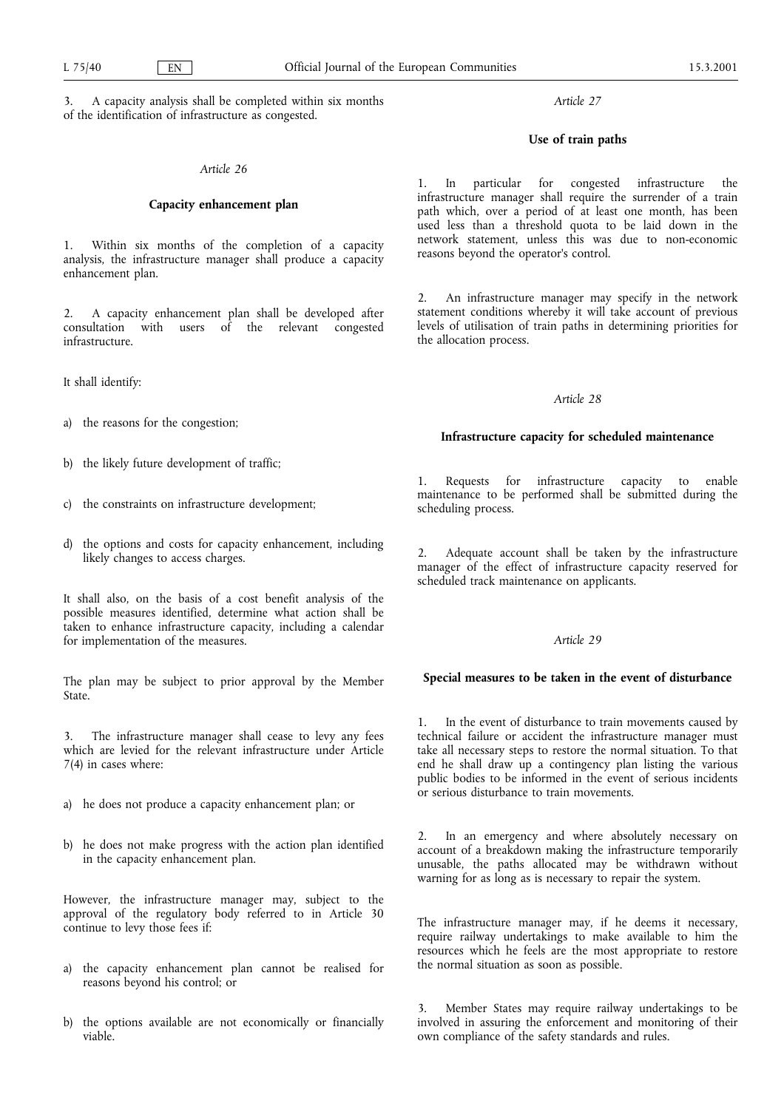3. A capacity analysis shall be completed within six months of the identification of infrastructure as congested.

## Article 26

## Capacity enhancement plan

1. Within six months of the completion of a capacity analysis, the infrastructure manager shall produce a capacity enhancement plan.

2. A capacity enhancement plan shall be developed after consultation with users of the relevant congested infrastructure.

It shall identify:

- a) the reasons for the congestion;
- b) the likely future development of traffic;
- c) the constraints on infrastructure development;
- d) the options and costs for capacity enhancement, including likely changes to access charges.

It shall also, on the basis of a cost benefit analysis of the possible measures identified, determine what action shall be taken to enhance infrastructure capacity, including a calendar for implementation of the measures.

The plan may be subject to prior approval by the Member State.

The infrastructure manager shall cease to levy any fees which are levied for the relevant infrastructure under Article 7(4) in cases where:

- a) he does not produce a capacity enhancement plan; or
- b) he does not make progress with the action plan identified in the capacity enhancement plan.

However, the infrastructure manager may, subject to the approval of the regulatory body referred to in Article 30 continue to levy those fees if:

- a) the capacity enhancement plan cannot be realised for reasons beyond his control; or
- b) the options available are not economically or financially viable.

Article 27

### Use of train paths

1. In particular for congested infrastructure the infrastructure manager shall require the surrender of a train path which, over a period of at least one month, has been used less than a threshold quota to be laid down in the network statement, unless this was due to non-economic reasons beyond the operator's control.

2. An infrastructure manager may specify in the network statement conditions whereby it will take account of previous levels of utilisation of train paths in determining priorities for the allocation process.

#### Article 28

## Infrastructure capacity for scheduled maintenance

1. Requests for infrastructure capacity to enable maintenance to be performed shall be submitted during the scheduling process.

2. Adequate account shall be taken by the infrastructure manager of the effect of infrastructure capacity reserved for scheduled track maintenance on applicants.

## Article 29

#### Special measures to be taken in the event of disturbance

1. In the event of disturbance to train movements caused by technical failure or accident the infrastructure manager must take all necessary steps to restore the normal situation. To that end he shall draw up a contingency plan listing the various public bodies to be informed in the event of serious incidents or serious disturbance to train movements.

2. In an emergency and where absolutely necessary on account of a breakdown making the infrastructure temporarily unusable, the paths allocated may be withdrawn without warning for as long as is necessary to repair the system.

The infrastructure manager may, if he deems it necessary, require railway undertakings to make available to him the resources which he feels are the most appropriate to restore the normal situation as soon as possible.

3. Member States may require railway undertakings to be involved in assuring the enforcement and monitoring of their own compliance of the safety standards and rules.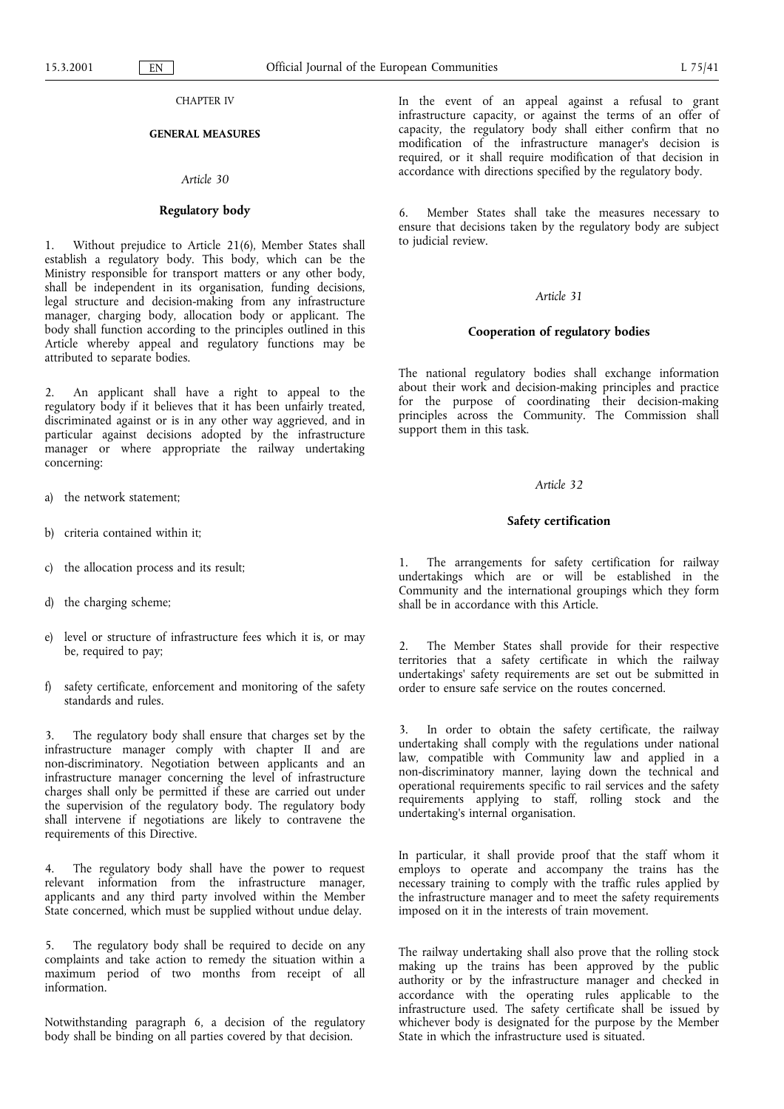## CHAPTER IV

# GENERAL MEASURES

### Article 30

### Regulatory body

1. Without prejudice to Article 21(6), Member States shall establish a regulatory body. This body, which can be the Ministry responsible for transport matters or any other body, shall be independent in its organisation, funding decisions, legal structure and decision-making from any infrastructure manager, charging body, allocation body or applicant. The body shall function according to the principles outlined in this Article whereby appeal and regulatory functions may be attributed to separate bodies.

2. An applicant shall have a right to appeal to the regulatory body if it believes that it has been unfairly treated, discriminated against or is in any other way aggrieved, and in particular against decisions adopted by the infrastructure manager or where appropriate the railway undertaking concerning:

- a) the network statement;
- b) criteria contained within it;
- c) the allocation process and its result;
- d) the charging scheme;
- e) level or structure of infrastructure fees which it is, or may be, required to pay;
- f) safety certificate, enforcement and monitoring of the safety standards and rules.

The regulatory body shall ensure that charges set by the infrastructure manager comply with chapter II and are non-discriminatory. Negotiation between applicants and an infrastructure manager concerning the level of infrastructure charges shall only be permitted if these are carried out under the supervision of the regulatory body. The regulatory body shall intervene if negotiations are likely to contravene the requirements of this Directive.

4. The regulatory body shall have the power to request relevant information from the infrastructure manager, applicants and any third party involved within the Member State concerned, which must be supplied without undue delay.

5. The regulatory body shall be required to decide on any complaints and take action to remedy the situation within a maximum period of two months from receipt of all information.

Notwithstanding paragraph 6, a decision of the regulatory body shall be binding on all parties covered by that decision.

In the event of an appeal against a refusal to grant infrastructure capacity, or against the terms of an offer of capacity, the regulatory body shall either confirm that no modification of the infrastructure manager's decision is required, or it shall require modification of that decision in accordance with directions specified by the regulatory body.

6. Member States shall take the measures necessary to ensure that decisions taken by the regulatory body are subject to judicial review.

## Article 31

#### Cooperation of regulatory bodies

The national regulatory bodies shall exchange information about their work and decision-making principles and practice for the purpose of coordinating their decision-making principles across the Community. The Commission shall support them in this task.

## Article 32

### Safety certification

1. The arrangements for safety certification for railway undertakings which are or will be established in the Community and the international groupings which they form shall be in accordance with this Article.

2. The Member States shall provide for their respective territories that a safety certificate in which the railway undertakings' safety requirements are set out be submitted in order to ensure safe service on the routes concerned.

3. In order to obtain the safety certificate, the railway undertaking shall comply with the regulations under national law, compatible with Community law and applied in a non-discriminatory manner, laying down the technical and operational requirements specific to rail services and the safety requirements applying to staff, rolling stock and the undertaking's internal organisation.

In particular, it shall provide proof that the staff whom it employs to operate and accompany the trains has the necessary training to comply with the traffic rules applied by the infrastructure manager and to meet the safety requirements imposed on it in the interests of train movement.

The railway undertaking shall also prove that the rolling stock making up the trains has been approved by the public authority or by the infrastructure manager and checked in accordance with the operating rules applicable to the infrastructure used. The safety certificate shall be issued by whichever body is designated for the purpose by the Member State in which the infrastructure used is situated.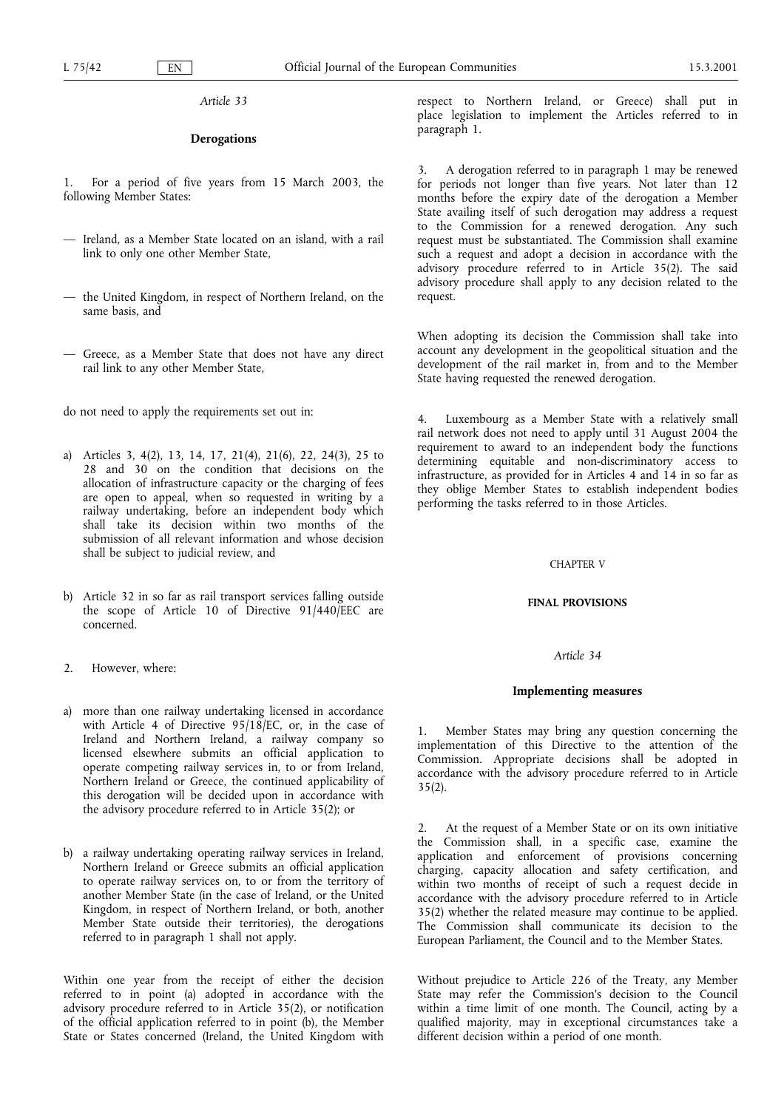## **Derogations**

1. For a period of five years from 15 March 2003, the following Member States:

- $-$  Ireland, as a Member State located on an island, with a rail link to only one other Member State,
- $-$  the United Kingdom, in respect of Northern Ireland, on the same basis, and
- Greece, as a Member State that does not have any direct rail link to any other Member State,

do not need to apply the requirements set out in:

- a) Articles 3, 4(2), 13, 14, 17, 21(4), 21(6), 22, 24(3), 25 to 28 and 30 on the condition that decisions on the allocation of infrastructure capacity or the charging of fees are open to appeal, when so requested in writing by a railway undertaking, before an independent body which shall take its decision within two months of the submission of all relevant information and whose decision shall be subject to judicial review, and
- b) Article 32 in so far as rail transport services falling outside the scope of Article 10 of Directive 91/440/EEC are concerned.
- 2. However, where:
- a) more than one railway undertaking licensed in accordance with Article 4 of Directive 95/18/EC, or, in the case of Ireland and Northern Ireland, a railway company so licensed elsewhere submits an official application to operate competing railway services in, to or from Ireland, Northern Ireland or Greece, the continued applicability of this derogation will be decided upon in accordance with the advisory procedure referred to in Article 35(2); or
- b) a railway undertaking operating railway services in Ireland, Northern Ireland or Greece submits an official application to operate railway services on, to or from the territory of another Member State (in the case of Ireland, or the United Kingdom, in respect of Northern Ireland, or both, another Member State outside their territories), the derogations referred to in paragraph 1 shall not apply.

Within one year from the receipt of either the decision referred to in point (a) adopted in accordance with the advisory procedure referred to in Article 35(2), or notification of the official application referred to in point (b), the Member State or States concerned (Ireland, the United Kingdom with

respect to Northern Ireland, or Greece) shall put in place legislation to implement the Articles referred to in paragraph 1.

3. A derogation referred to in paragraph 1 may be renewed for periods not longer than five years. Not later than 12 months before the expiry date of the derogation a Member State availing itself of such derogation may address a request to the Commission for a renewed derogation. Any such request must be substantiated. The Commission shall examine such a request and adopt a decision in accordance with the advisory procedure referred to in Article 35(2). The said advisory procedure shall apply to any decision related to the request.

When adopting its decision the Commission shall take into account any development in the geopolitical situation and the development of the rail market in, from and to the Member State having requested the renewed derogation.

4. Luxembourg as a Member State with a relatively small rail network does not need to apply until 31 August 2004 the requirement to award to an independent body the functions determining equitable and non-discriminatory access to infrastructure, as provided for in Articles 4 and 14 in so far as they oblige Member States to establish independent bodies performing the tasks referred to in those Articles.

#### CHAPTER V

### FINAL PROVISIONS

# Article 34

#### Implementing measures

1. Member States may bring any question concerning the implementation of this Directive to the attention of the Commission. Appropriate decisions shall be adopted in accordance with the advisory procedure referred to in Article  $35(2)$ .

2. At the request of a Member State or on its own initiative the Commission shall, in a specific case, examine the application and enforcement of provisions concerning charging, capacity allocation and safety certification, and within two months of receipt of such a request decide in accordance with the advisory procedure referred to in Article 35(2) whether the related measure may continue to be applied. The Commission shall communicate its decision to the European Parliament, the Council and to the Member States.

Without prejudice to Article 226 of the Treaty, any Member State may refer the Commission's decision to the Council within a time limit of one month. The Council, acting by a qualified majority, may in exceptional circumstances take a different decision within a period of one month.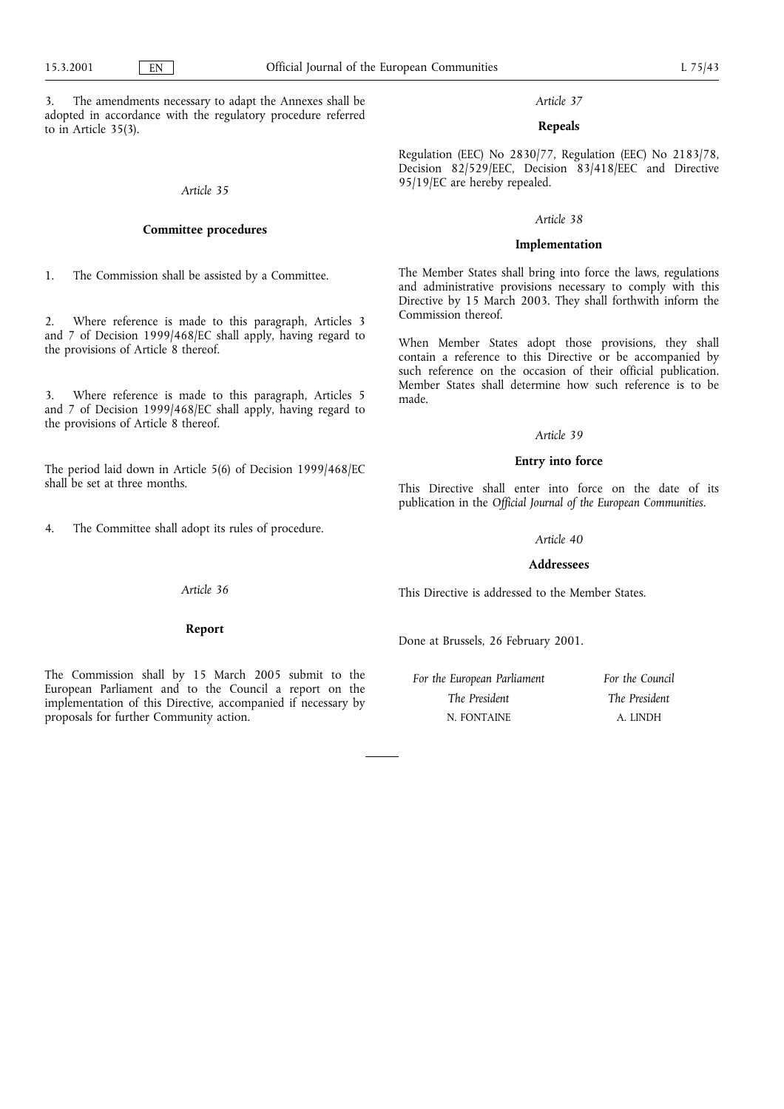3. The amendments necessary to adapt the Annexes shall be adopted in accordance with the regulatory procedure referred to in Article 35(3).

# Article 35

## Committee procedures

1. The Commission shall be assisted by a Committee.

2. Where reference is made to this paragraph, Articles 3 and 7 of Decision 1999/468/EC shall apply, having regard to the provisions of Article 8 thereof.

3. Where reference is made to this paragraph, Articles 5 and 7 of Decision 1999/468/EC shall apply, having regard to the provisions of Article 8 thereof.

The period laid down in Article 5(6) of Decision 1999/468/EC shall be set at three months.

4. The Committee shall adopt its rules of procedure.

# Article 37

# Repeals

Regulation (EEC) No 2830/77, Regulation (EEC) No 2183/78, Decision 82/529/EEC, Decision 83/418/EEC and Directive 95/19/EC are hereby repealed.

## Article 38

## Implementation

The Member States shall bring into force the laws, regulations and administrative provisions necessary to comply with this Directive by 15 March 2003. They shall forthwith inform the Commission thereof.

When Member States adopt those provisions, they shall contain a reference to this Directive or be accompanied by such reference on the occasion of their official publication. Member States shall determine how such reference is to be made.

#### Article 39

### Entry into force

This Directive shall enter into force on the date of its publication in the Official Journal of the European Communities.

### Article 40

#### Addressees

This Directive is addressed to the Member States.

Done at Brussels, 26 February 2001.

For the European Parliament The President N. FONTAINE For the Council The President A. LINDH

Article 36

Report

The Commission shall by 15 March 2005 submit to the European Parliament and to the Council a report on the implementation of this Directive, accompanied if necessary by proposals for further Community action.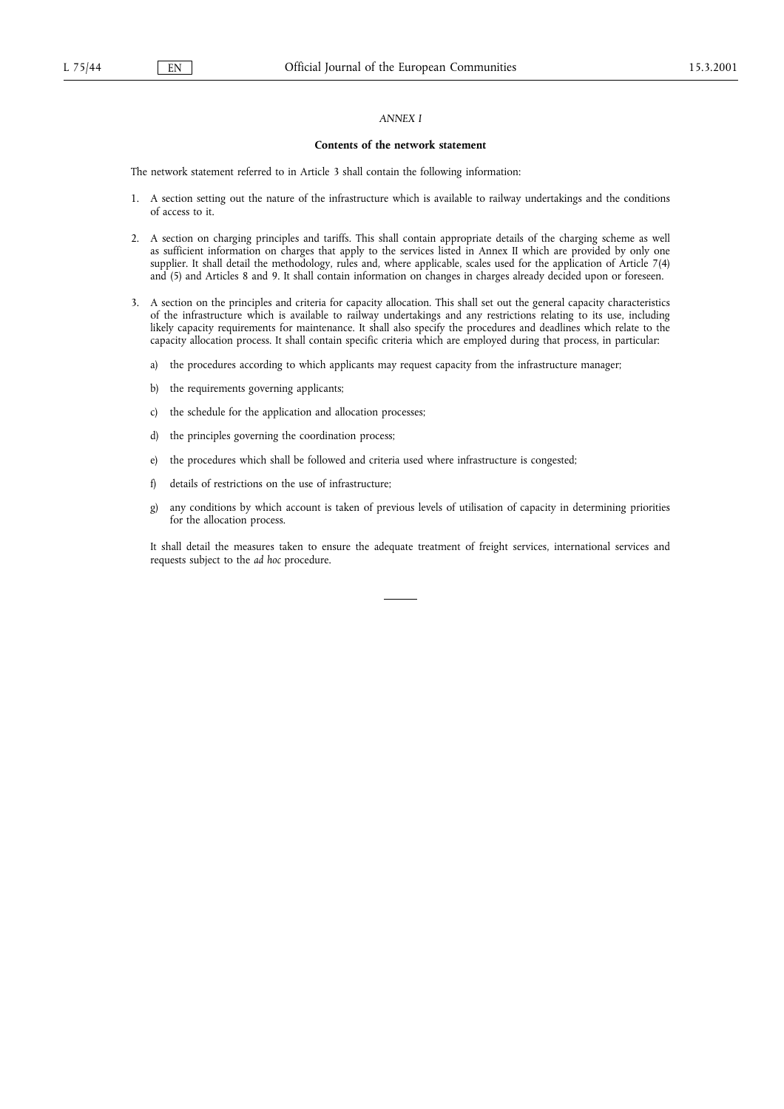## ANNEX I

#### Contents of the network statement

The network statement referred to in Article 3 shall contain the following information:

- 1. A section setting out the nature of the infrastructure which is available to railway undertakings and the conditions of access to it.
- 2. A section on charging principles and tariffs. This shall contain appropriate details of the charging scheme as well as sufficient information on charges that apply to the services listed in Annex II which are provided by only one supplier. It shall detail the methodology, rules and, where applicable, scales used for the application of Article 7(4) and (5) and Articles 8 and 9. It shall contain information on changes in charges already decided upon or foreseen.
- 3. A section on the principles and criteria for capacity allocation. This shall set out the general capacity characteristics of the infrastructure which is available to railway undertakings and any restrictions relating to its use, including likely capacity requirements for maintenance. It shall also specify the procedures and deadlines which relate to the capacity allocation process. It shall contain specific criteria which are employed during that process, in particular:
	- a) the procedures according to which applicants may request capacity from the infrastructure manager;
	- b) the requirements governing applicants;
	- c) the schedule for the application and allocation processes;
	- d) the principles governing the coordination process;
	- e) the procedures which shall be followed and criteria used where infrastructure is congested;
	- f) details of restrictions on the use of infrastructure;
	- g) any conditions by which account is taken of previous levels of utilisation of capacity in determining priorities for the allocation process.

It shall detail the measures taken to ensure the adequate treatment of freight services, international services and requests subject to the ad hoc procedure.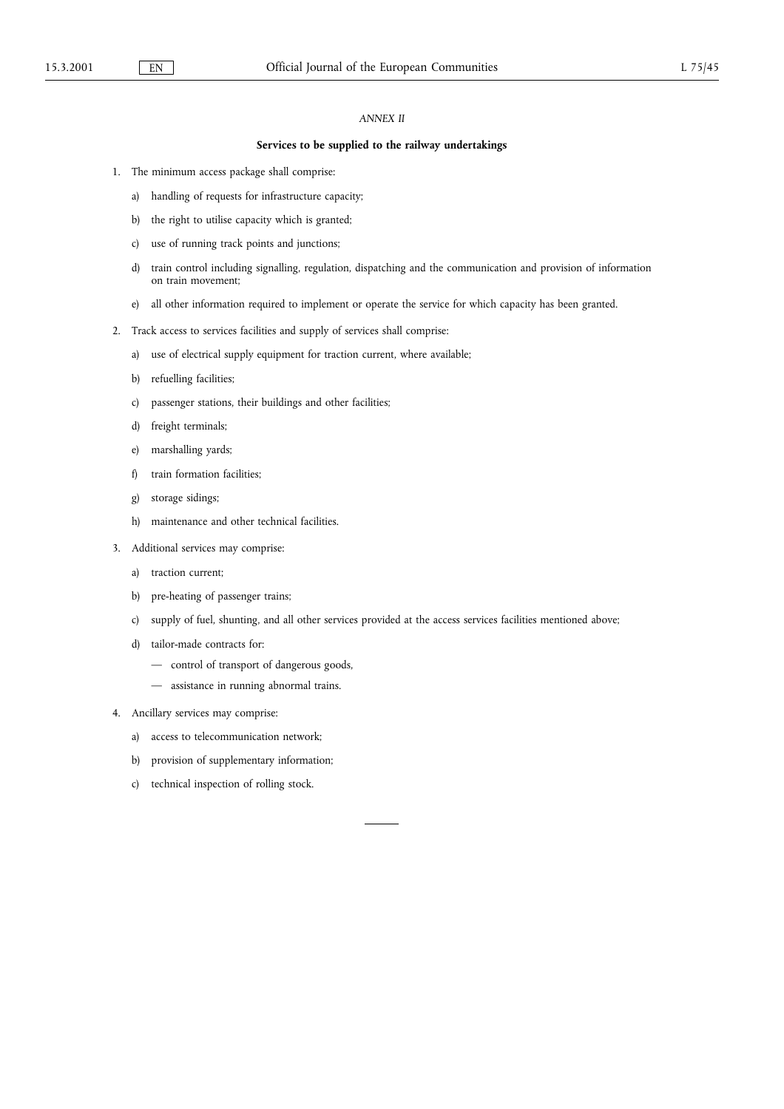# ANNEX II

## Services to be supplied to the railway undertakings

- 1. The minimum access package shall comprise:
	- a) handling of requests for infrastructure capacity;
	- b) the right to utilise capacity which is granted;
	- c) use of running track points and junctions;
	- d) train control including signalling, regulation, dispatching and the communication and provision of information on train movement;
	- e) all other information required to implement or operate the service for which capacity has been granted.
- 2. Track access to services facilities and supply of services shall comprise:
	- a) use of electrical supply equipment for traction current, where available;
	- b) refuelling facilities;
	- c) passenger stations, their buildings and other facilities;
	- d) freight terminals;
	- e) marshalling yards;
	- f) train formation facilities;
	- g) storage sidings;
	- h) maintenance and other technical facilities.
- 3. Additional services may comprise:
	- a) traction current;
	- b) pre-heating of passenger trains;
	- c) supply of fuel, shunting, and all other services provided at the access services facilities mentioned above;
	- d) tailor-made contracts for:
		- control of transport of dangerous goods,
		- assistance in running abnormal trains.
- 4. Ancillary services may comprise:
	- a) access to telecommunication network;
	- b) provision of supplementary information;
	- c) technical inspection of rolling stock.